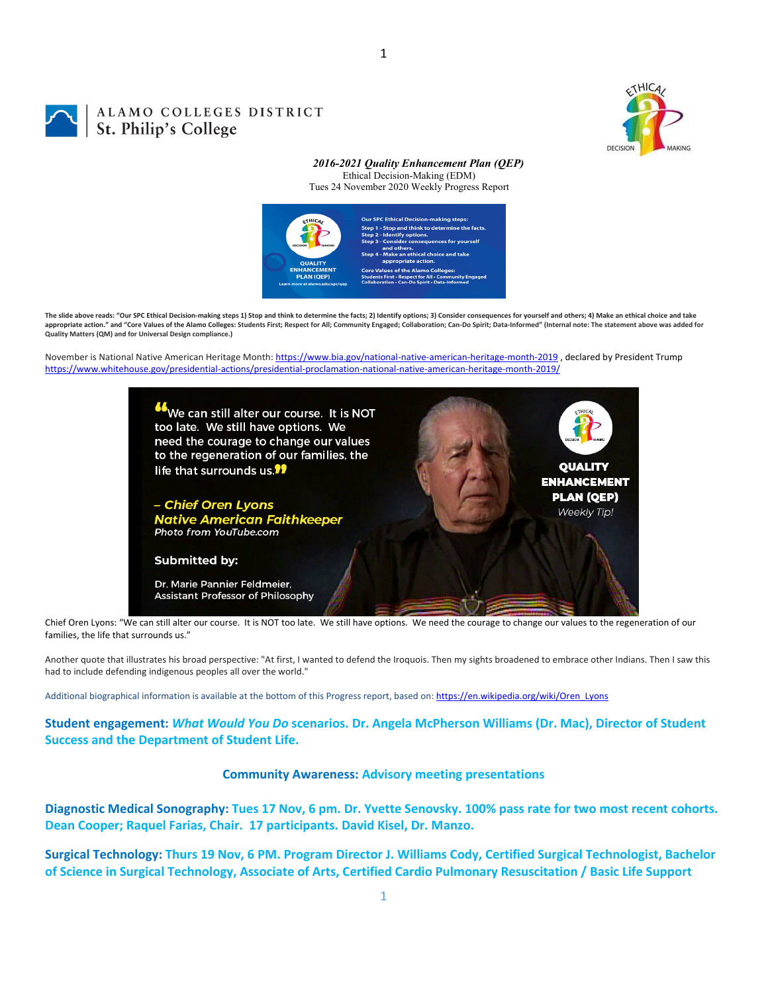

## ALAMO COLLEGES DISTRICT St. Philip's College

*2016-2021 Quality Enhancement Plan (QEP)* Ethical Decision-Making (EDM) Tues 24 November 2020 Weekly Progress Report



The slide above reads: "Our SPC Ethical Decision-making steps 1) Stop and think to determine the facts: 2) Identify options: 3) Consider consequences for yourself and others: 4) Make an ethical choice and take appropriate action." and "Core Values of the Alamo Colleges: Students First; Respect for All; Community Engaged; Collaboration; Can-Do Spirit; Data-Informed" (Internal note: The statement above was added for **Quality Matters (QM) and for Universal Design compliance.)**

November is National Native American Heritage Month: https://www.bia.gov/national-native-american-heritage-month-2019, declared by President Trump https://www.whitehouse.gov/presidential‐actions/presidential‐proclamation‐national‐native‐american‐heritage‐month‐2019/



Chief Oren Lyons: "We can still alter our course. It is NOT too late. We still have options. We need the courage to change our values to the regeneration of our families, the life that surrounds us."

Another quote that illustrates his broad perspective: "At first, I wanted to defend the Iroquois. Then my sights broadened to embrace other Indians. Then I saw this had to include defending indigenous peoples all over the world."

Additional biographical information is available at the bottom of this Progress report, based on: https://en.wikipedia.org/wiki/Oren\_Lyons

**Student engagement:** *What Would You Do* **scenarios. Dr. Angela McPherson Williams (Dr. Mac), Director of Student Success and the Department of Student Life.**

#### **Community Awareness: Advisory meeting presentations**

Diagnostic Medical Sonography: Tues 17 Nov, 6 pm. Dr. Yvette Senovsky. 100% pass rate for two most recent cohorts. **Dean Cooper; Raquel Farias, Chair. 17 participants. David Kisel, Dr. Manzo.**

Surgical Technology: Thurs 19 Nov, 6 PM. Program Director J. Williams Cody, Certified Surgical Technologist, Bachelor of Science in Surgical Technology, Associate of Arts, Certified Cardio Pulmonary Resuscitation / Basic Life Support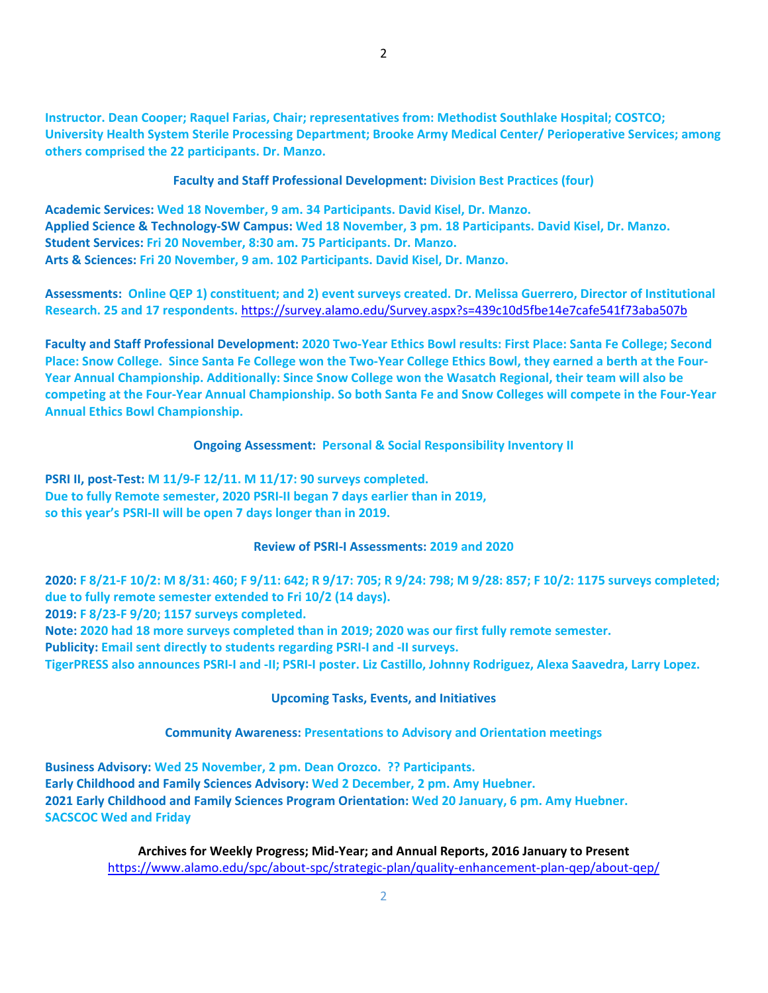**Instructor. Dean Cooper; Raquel Farias, Chair; representatives from: Methodist Southlake Hospital; COSTCO; University Health System Sterile Processing Department; Brooke Army Medical Center/ Perioperative Services; among others comprised the 22 participants. Dr. Manzo.**

**Faculty and Staff Professional Development: Division Best Practices (four)**

**Academic Services: Wed 18 November, 9 am. 34 Participants. David Kisel, Dr. Manzo.** Applied Science & Technology-SW Campus: Wed 18 November, 3 pm. 18 Participants. David Kisel, Dr. Manzo. **Student Services: Fri 20 November, 8:30 am. 75 Participants. Dr. Manzo. Arts & Sciences: Fri 20 November, 9 am. 102 Participants. David Kisel, Dr. Manzo.**

Assessments: Online QEP 1) constituent; and 2) event surveys created. Dr. Melissa Guerrero, Director of Institutional **Research. 25 and 17 respondents.** https://survey.alamo.edu/Survey.aspx?s=439c10d5fbe14e7cafe541f73aba507b

Faculty and Staff Professional Development: 2020 Two-Year Ethics Bowl results: First Place: Santa Fe College; Second Place: Snow College. Since Santa Fe College won the Two-Year College Ethics Bowl, they earned a berth at the Four-**Year Annual Championship. Additionally: Since Snow College won the Wasatch Regional, their team will also be** competing at the Four-Year Annual Championship. So both Santa Fe and Snow Colleges will compete in the Four-Year **Annual Ethics Bowl Championship.**

**Ongoing Assessment: Personal & Social Responsibility Inventory II**

**PSRI II, post‐Test: M 11/9‐F 12/11. M 11/17: 90 surveys completed. Due to fully Remote semester, 2020 PSRI‐II began 7 days earlier than in 2019, so this year's PSRI‐II will be open 7 days longer than in 2019.**

#### **Review of PSRI‐I Assessments: 2019 and 2020**

2020: F 8/21-F 10/2: M 8/31: 460; F 9/11: 642; R 9/17: 705; R 9/24: 798; M 9/28: 857; F 10/2: 1175 surveys completed; **due to fully remote semester extended to Fri 10/2 (14 days). 2019: F 8/23‐F 9/20; 1157 surveys completed. Note: 2020 had 18 more surveys completed than in 2019; 2020 was our first fully remote semester. Publicity: Email sent directly to students regarding PSRI‐I and ‐II surveys.** 

TigerPRESS also announces PSRI-I and -II; PSRI-I poster. Liz Castillo, Johnny Rodriguez, Alexa Saavedra, Larry Lopez.

## **Upcoming Tasks, Events, and Initiatives**

## **Community Awareness: Presentations to Advisory and Orientation meetings**

**Business Advisory: Wed 25 November, 2 pm. Dean Orozco. ?? Participants. Early Childhood and Family Sciences Advisory: Wed 2 December, 2 pm. Amy Huebner. 2021 Early Childhood and Family Sciences Program Orientation: Wed 20 January, 6 pm. Amy Huebner. SACSCOC Wed and Friday**

> **Archives for Weekly Progress; Mid‐Year; and Annual Reports, 2016 January to Present** https://www.alamo.edu/spc/about‐spc/strategic‐plan/quality‐enhancement‐plan‐qep/about‐qep/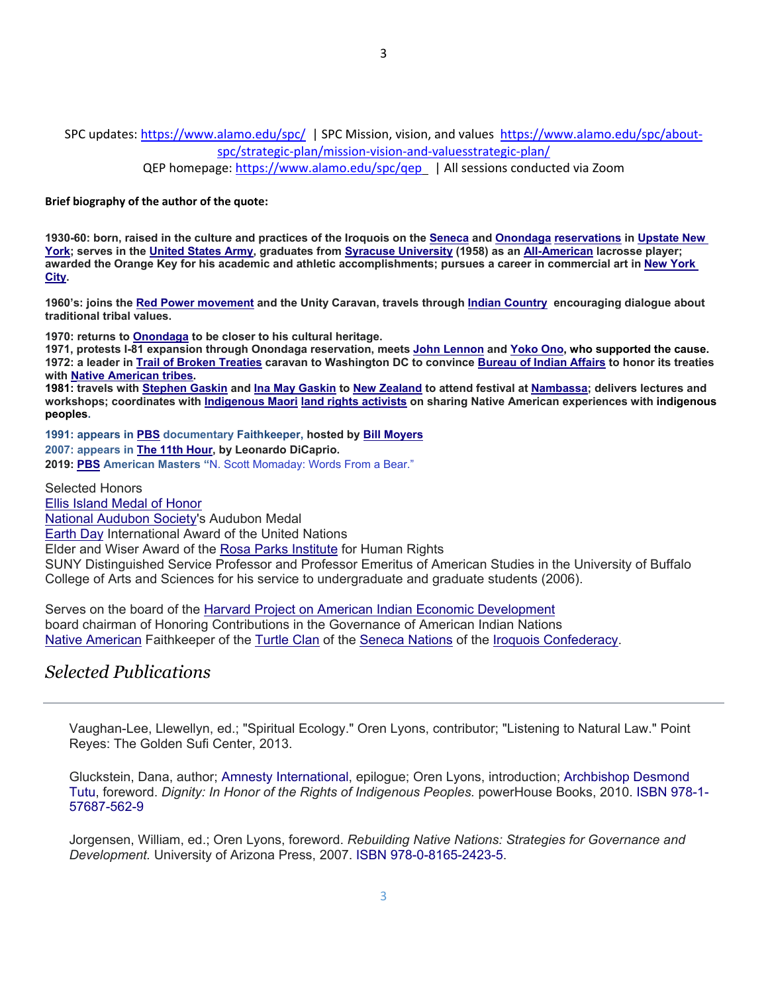SPC updates: https://www.alamo.edu/spc/ | SPC Mission, vision, and values https://www.alamo.edu/spc/about‐ spc/strategic‐plan/mission‐vision‐and‐valuesstrategic‐plan/

QEP homepage: https://www.alamo.edu/spc/qep | All sessions conducted via Zoom

**Brief biography of the author of the quote:**

**1930-60: born, raised in the culture and practices of the Iroquois on the Seneca and Onondaga reservations in Upstate New York; serves in the United States Army, graduates from Syracuse University (1958) as an All-American lacrosse player; awarded the Orange Key for his academic and athletic accomplishments; pursues a career in commercial art in New York City.** 

**1960's: joins the Red Power movement and the Unity Caravan, travels through Indian Country encouraging dialogue about traditional tribal values.** 

**1970: returns to Onondaga to be closer to his cultural heritage.** 

**1971, protests I-81 expansion through Onondaga reservation, meets John Lennon and Yoko Ono, who supported the cause. 1972: a leader in Trail of Broken Treaties caravan to Washington DC to convince Bureau of Indian Affairs to honor its treaties with Native American tribes.** 

**1981: travels with Stephen Gaskin and Ina May Gaskin to New Zealand to attend festival at Nambassa; delivers lectures and workshops; coordinates with Indigenous Maori land rights activists on sharing Native American experiences with indigenous peoples.** 

**1991: appears in PBS documentary Faithkeeper, hosted by Bill Moyers 2007: appears in The 11th Hour, by Leonardo DiCaprio.** 

**2019: PBS American Masters "**N. Scott Momaday: Words From a Bear."

Selected Honors Ellis Island Medal of Honor National Audubon Society's Audubon Medal Earth Day International Award of the United Nations Elder and Wiser Award of the Rosa Parks Institute for Human Rights SUNY Distinguished Service Professor and Professor Emeritus of American Studies in the University of Buffalo College of Arts and Sciences for his service to undergraduate and graduate students (2006).

Serves on the board of the Harvard Project on American Indian Economic Development board chairman of Honoring Contributions in the Governance of American Indian Nations Native American Faithkeeper of the Turtle Clan of the Seneca Nations of the Iroquois Confederacy.

# *Selected Publications*

Vaughan-Lee, Llewellyn, ed.; "Spiritual Ecology." Oren Lyons, contributor; "Listening to Natural Law." Point Reyes: The Golden Sufi Center, 2013.

Gluckstein, Dana, author; Amnesty International, epilogue; Oren Lyons, introduction; Archbishop Desmond Tutu, foreword. *Dignity: In Honor of the Rights of Indigenous Peoples.* powerHouse Books, 2010. ISBN 978-1- 57687-562-9

Jorgensen, William, ed.; Oren Lyons, foreword. *Rebuilding Native Nations: Strategies for Governance and Development.* University of Arizona Press, 2007. ISBN 978-0-8165-2423-5.